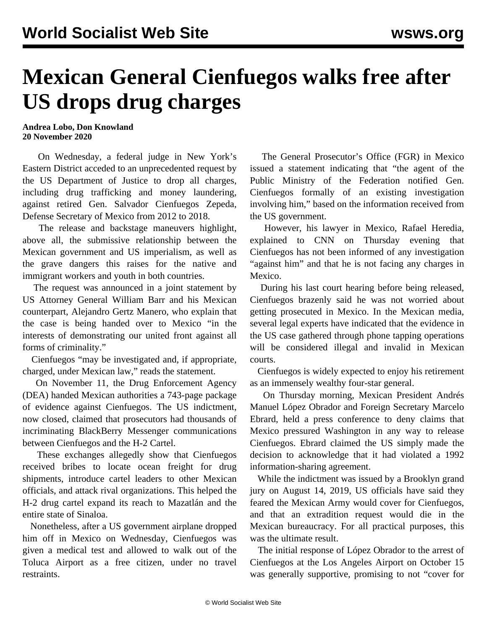## **Mexican General Cienfuegos walks free after US drops drug charges**

**Andrea Lobo, Don Knowland 20 November 2020**

 On Wednesday, a federal judge in New York's Eastern District acceded to an unprecedented request by the US Department of Justice to drop all charges, including drug trafficking and money laundering, against retired Gen. Salvador Cienfuegos Zepeda, Defense Secretary of Mexico from 2012 to 2018.

 The release and backstage maneuvers highlight, above all, the submissive relationship between the Mexican government and US imperialism, as well as the grave dangers this raises for the native and immigrant workers and youth in both countries.

 The request was announced in a joint statement by US Attorney General William Barr and his Mexican counterpart, Alejandro Gertz Manero, who explain that the case is being handed over to Mexico "in the interests of demonstrating our united front against all forms of criminality."

 Cienfuegos "may be investigated and, if appropriate, charged, under Mexican law," reads the statement.

 On November 11, the Drug Enforcement Agency (DEA) handed Mexican authorities a 743-page package of evidence against Cienfuegos. The US indictment, now closed, claimed that prosecutors had thousands of incriminating BlackBerry Messenger communications between Cienfuegos and the H-2 Cartel.

 These exchanges allegedly show that Cienfuegos received bribes to locate ocean freight for drug shipments, introduce cartel leaders to other Mexican officials, and attack rival organizations. This helped the H-2 drug cartel expand its reach to Mazatlán and the entire state of Sinaloa.

 Nonetheless, after a US government airplane dropped him off in Mexico on Wednesday, Cienfuegos was given a medical test and allowed to walk out of the Toluca Airport as a free citizen, under no travel restraints.

 The General Prosecutor's Office (FGR) in Mexico issued a statement indicating that "the agent of the Public Ministry of the Federation notified Gen. Cienfuegos formally of an existing investigation involving him," based on the information received from the US government.

 However, his lawyer in Mexico, Rafael Heredia, explained to CNN on Thursday evening that Cienfuegos has not been informed of any investigation "against him" and that he is not facing any charges in Mexico.

 During his last court hearing before being released, Cienfuegos brazenly said he was not worried about getting prosecuted in Mexico. In the Mexican media, several legal experts have indicated that the evidence in the US case gathered through phone tapping operations will be considered illegal and invalid in Mexican courts.

 Cienfuegos is widely expected to enjoy his retirement as an immensely wealthy four-star general.

 On Thursday morning, Mexican President Andrés Manuel López Obrador and Foreign Secretary Marcelo Ebrard, held a press conference to deny claims that Mexico pressured Washington in any way to release Cienfuegos. Ebrard claimed the US simply made the decision to acknowledge that it had violated a 1992 information-sharing agreement.

 While the indictment was issued by a Brooklyn grand jury on August 14, 2019, US officials have said they feared the Mexican Army would cover for Cienfuegos, and that an extradition request would die in the Mexican bureaucracy. For all practical purposes, this was the ultimate result.

 The initial response of López Obrador to the arrest of Cienfuegos at the Los Angeles Airport on October 15 was generally supportive, promising to not "cover for